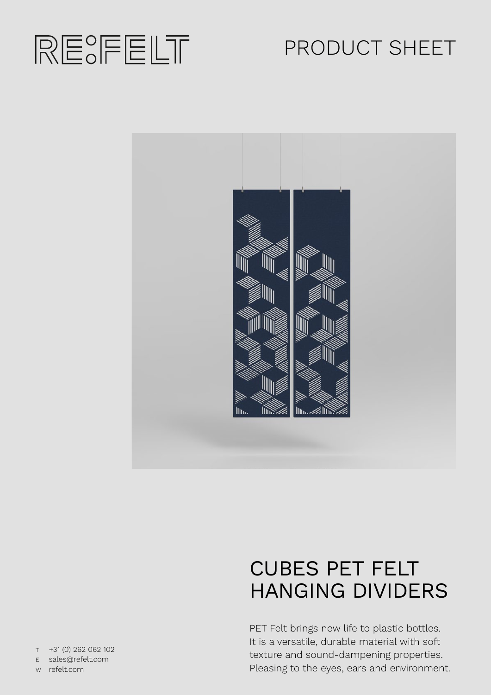

# PRODUCT SHEET



# CUBES PET FELT HANGING DIVIDERS

PET Felt brings new life to plastic bottles. It is a versatile, durable material with soft texture and sound-dampening properties. Pleasing to the eyes, ears and environment.

T +31 (0) 262 062 102 E sales@refelt.com

W refelt.com